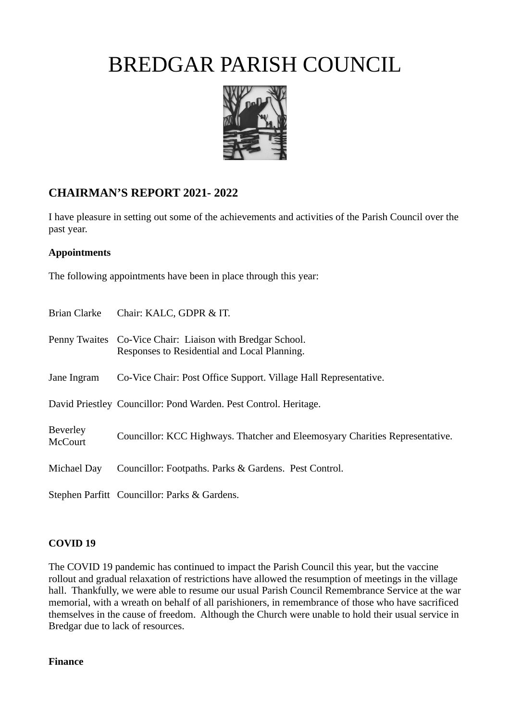

### **CHAIRMAN'S REPORT 2021- 2022**

I have pleasure in setting out some of the achievements and activities of the Parish Council over the past year.

### **Appointments**

The following appointments have been in place through this year:

| Brian Clarke                      | Chair: KALC, GDPR & IT.                                                                                   |
|-----------------------------------|-----------------------------------------------------------------------------------------------------------|
|                                   | Penny Twaites Co-Vice Chair: Liaison with Bredgar School.<br>Responses to Residential and Local Planning. |
| Jane Ingram                       | Co-Vice Chair: Post Office Support. Village Hall Representative.                                          |
|                                   | David Priestley Councillor: Pond Warden. Pest Control. Heritage.                                          |
| <b>Beverley</b><br><b>McCourt</b> | Councillor: KCC Highways. Thatcher and Eleemosyary Charities Representative.                              |
| Michael Day                       | Councillor: Footpaths. Parks & Gardens. Pest Control.                                                     |
|                                   | Stephen Parfitt Councillor: Parks & Gardens.                                                              |

#### **COVID 19**

The COVID 19 pandemic has continued to impact the Parish Council this year, but the vaccine rollout and gradual relaxation of restrictions have allowed the resumption of meetings in the village hall. Thankfully, we were able to resume our usual Parish Council Remembrance Service at the war memorial, with a wreath on behalf of all parishioners, in remembrance of those who have sacrificed themselves in the cause of freedom. Although the Church were unable to hold their usual service in Bredgar due to lack of resources.

#### **Finance**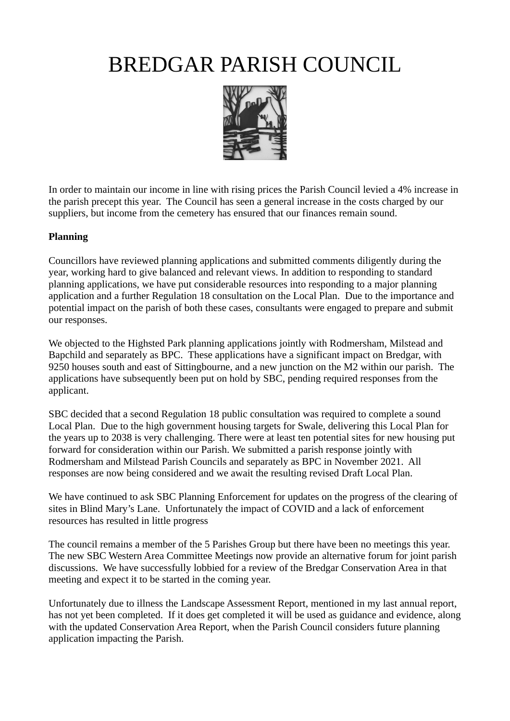

In order to maintain our income in line with rising prices the Parish Council levied a 4% increase in the parish precept this year. The Council has seen a general increase in the costs charged by our suppliers, but income from the cemetery has ensured that our finances remain sound.

#### **Planning**

Councillors have reviewed planning applications and submitted comments diligently during the year, working hard to give balanced and relevant views. In addition to responding to standard planning applications, we have put considerable resources into responding to a major planning application and a further Regulation 18 consultation on the Local Plan. Due to the importance and potential impact on the parish of both these cases, consultants were engaged to prepare and submit our responses.

We objected to the Highsted Park planning applications jointly with Rodmersham, Milstead and Bapchild and separately as BPC. These applications have a significant impact on Bredgar, with 9250 houses south and east of Sittingbourne, and a new junction on the M2 within our parish. The applications have subsequently been put on hold by SBC, pending required responses from the applicant.

SBC decided that a second Regulation 18 public consultation was required to complete a sound Local Plan. Due to the high government housing targets for Swale, delivering this Local Plan for the years up to 2038 is very challenging. There were at least ten potential sites for new housing put forward for consideration within our Parish. We submitted a parish response jointly with Rodmersham and Milstead Parish Councils and separately as BPC in November 2021. All responses are now being considered and we await the resulting revised Draft Local Plan.

We have continued to ask SBC Planning Enforcement for updates on the progress of the clearing of sites in Blind Mary's Lane. Unfortunately the impact of COVID and a lack of enforcement resources has resulted in little progress

The council remains a member of the 5 Parishes Group but there have been no meetings this year. The new SBC Western Area Committee Meetings now provide an alternative forum for joint parish discussions. We have successfully lobbied for a review of the Bredgar Conservation Area in that meeting and expect it to be started in the coming year.

Unfortunately due to illness the Landscape Assessment Report, mentioned in my last annual report, has not yet been completed. If it does get completed it will be used as guidance and evidence, along with the updated Conservation Area Report, when the Parish Council considers future planning application impacting the Parish.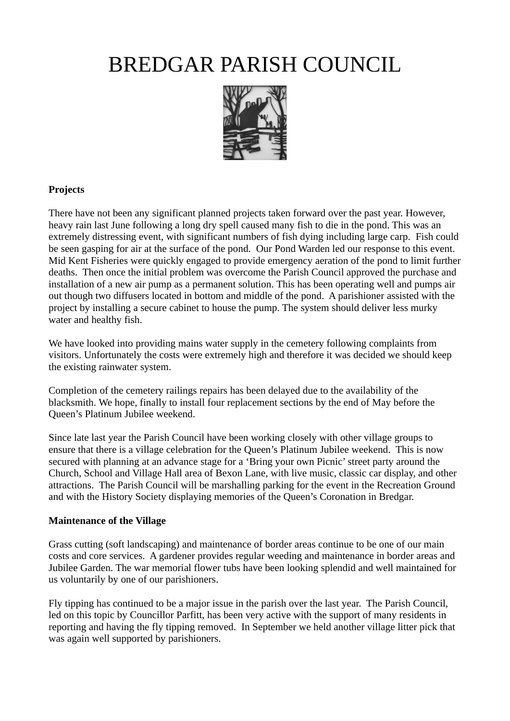

### **Projects**

There have not been any significant planned projects taken forward over the past year. However, heavy rain last June following a long dry spell caused many fish to die in the pond. This was an extremely distressing event, with significant numbers of fish dying including large carp. Fish could be seen gasping for air at the surface of the pond. Our Pond Warden led our response to this event. Mid Kent Fisheries were quickly engaged to provide emergency aeration of the pond to limit further deaths. Then once the initial problem was overcome the Parish Council approved the purchase and installation of a new air pump as a permanent solution. This has been operating well and pumps air out though two diffusers located in bottom and middle of the pond. A parishioner assisted with the project by installing a secure cabinet to house the pump. The system should deliver less murky water and healthy fish.

We have looked into providing mains water supply in the cemetery following complaints from visitors. Unfortunately the costs were extremely high and therefore it was decided we should keep the existing rainwater system.

Completion of the cemetery railings repairs has been delayed due to the availability of the blacksmith. We hope, finally to install four replacement sections by the end of May before the Queen's Platinum Jubilee weekend.

Since late last year the Parish Council have been working closely with other village groups to ensure that there is a village celebration for the Queen's Platinum Jubilee weekend. This is now secured with planning at an advance stage for a 'Bring your own Picnic' street party around the Church, School and Village Hall area of Bexon Lane, with live music, classic car display, and other attractions. The Parish Council will be marshalling parking for the event in the Recreation Ground and with the History Society displaying memories of the Queen's Coronation in Bredgar.

### **Maintenance of the Village**

Grass cutting (soft landscaping) and maintenance of border areas continue to be one of our main costs and core services. A gardener provides regular weeding and maintenance in border areas and Jubilee Garden. The war memorial flower tubs have been looking splendid and well maintained for us voluntarily by one of our parishioners.

Fly tipping has continued to be a major issue in the parish over the last year. The Parish Council, led on this topic by Councillor Parfitt, has been very active with the support of many residents in reporting and having the fly tipping removed. In September we held another village litter pick that was again well supported by parishioners.